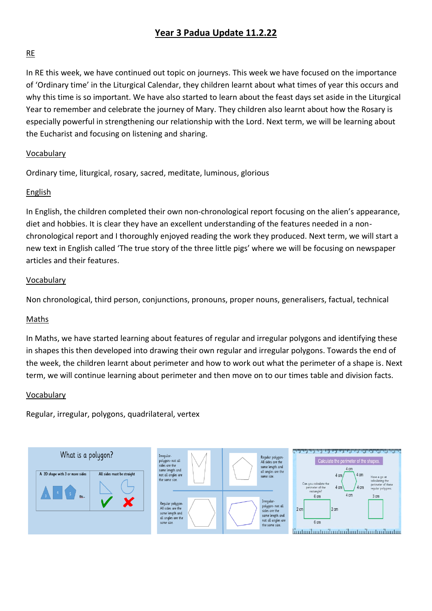## **Year 3 Padua Update 11.2.22**

## RE

In RE this week, we have continued out topic on journeys. This week we have focused on the importance of 'Ordinary time' in the Liturgical Calendar, they children learnt about what times of year this occurs and why this time is so important. We have also started to learn about the feast days set aside in the Liturgical Year to remember and celebrate the journey of Mary. They children also learnt about how the Rosary is especially powerful in strengthening our relationship with the Lord. Next term, we will be learning about the Eucharist and focusing on listening and sharing.

## Vocabulary

Ordinary time, liturgical, rosary, sacred, meditate, luminous, glorious

## English

In English, the children completed their own non-chronological report focusing on the alien's appearance, diet and hobbies. It is clear they have an excellent understanding of the features needed in a nonchronological report and I thoroughly enjoyed reading the work they produced. Next term, we will start a new text in English called 'The true story of the three little pigs' where we will be focusing on newspaper articles and their features.

## Vocabulary

Non chronological, third person, conjunctions, pronouns, proper nouns, generalisers, factual, technical

#### Maths

In Maths, we have started learning about features of regular and irregular polygons and identifying these in shapes this then developed into drawing their own regular and irregular polygons. Towards the end of the week, the children learnt about perimeter and how to work out what the perimeter of a shape is. Next term, we will continue learning about perimeter and then move on to our times table and division facts.

#### Vocabulary

Regular, irregular, polygons, quadrilateral, vertex

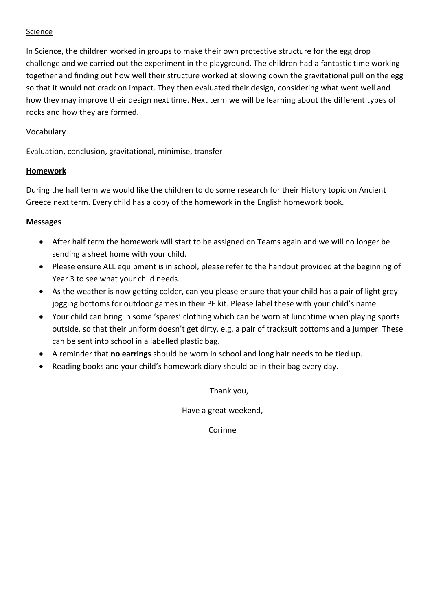## Science

In Science, the children worked in groups to make their own protective structure for the egg drop challenge and we carried out the experiment in the playground. The children had a fantastic time working together and finding out how well their structure worked at slowing down the gravitational pull on the egg so that it would not crack on impact. They then evaluated their design, considering what went well and how they may improve their design next time. Next term we will be learning about the different types of rocks and how they are formed.

## Vocabulary

Evaluation, conclusion, gravitational, minimise, transfer

## **Homework**

During the half term we would like the children to do some research for their History topic on Ancient Greece next term. Every child has a copy of the homework in the English homework book.

## **Messages**

- After half term the homework will start to be assigned on Teams again and we will no longer be sending a sheet home with your child.
- Please ensure ALL equipment is in school, please refer to the handout provided at the beginning of Year 3 to see what your child needs.
- As the weather is now getting colder, can you please ensure that your child has a pair of light grey jogging bottoms for outdoor games in their PE kit. Please label these with your child's name.
- Your child can bring in some 'spares' clothing which can be worn at lunchtime when playing sports outside, so that their uniform doesn't get dirty, e.g. a pair of tracksuit bottoms and a jumper. These can be sent into school in a labelled plastic bag.
- A reminder that **no earrings** should be worn in school and long hair needs to be tied up.
- Reading books and your child's homework diary should be in their bag every day.

Thank you,

Have a great weekend,

Corinne